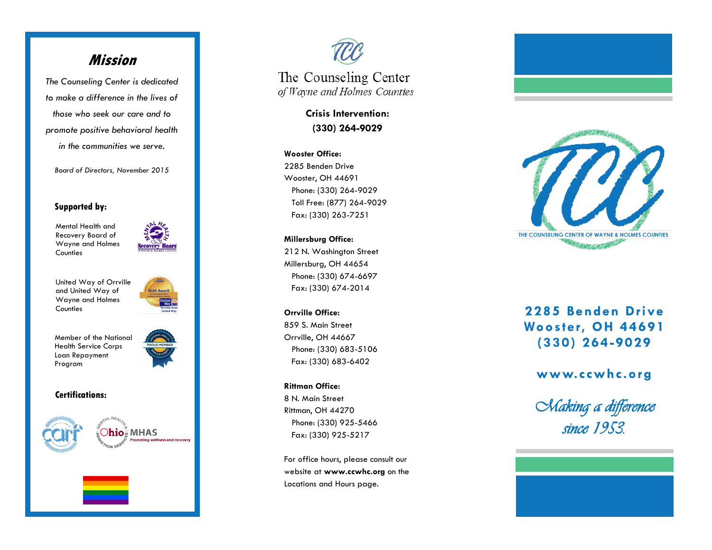# **Mission**

*The Counseling Center is dedicated to make a difference in the lives of those who seek our care and to promote positive behavioral health in the communities we serve.* 

*Board of Directors, November 2015*

#### **Supported by:**

Mental Health and Recovery Board of Wayne and Holmes **Counties** 



United Way of Orrville and United Way of Wayne and Holmes **Counties** 



Member of the National Health Service Corps Loan Repayment Program



#### **Certifications:**





The Counseling Center of Wayne and Holmes Counties

> **Crisis Intervention: (330) 264 -9029**

### **Wooster Office:**

2285 Benden Drive Wooster, OH 44691 Phone: (330) 264 -9029 Toll Free: (877) 264 -9029 Fax: (330) 263 -7251

**Millersburg Office:** 

212 N. Washington Street Millersburg, OH 44654 Phone: (330) 674 -6697 Fax: (330) 674 -2014

**Orrville Office:**  859 S. Main Street Orrville, OH 44667 Phone: (330) 683 -5106 Fax: (330) 683 -6402

#### **Rittman Office:**

8 N. Main Street Rittman, OH 44270 Phone: (330) 925 -5466 Fax: (330) 925 -5217

For office hours, please consult our website at **www.ccwhc.org** on the Locations and Hours page.





# 2285 Benden Drive Wooster, OH 44691  $(330)$  264-9029

## www.ccwhc.org

*Making a difference since 1953.*